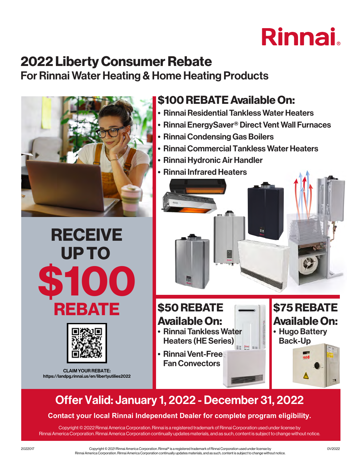# Rinnai

## 2022 Liberty Consumer Rebate

For Rinnai Water Heating & Home Heating Products



# **RECEIVE** UP TO \$100 REBATE



CLAIM YOUR REBATE: https://landpg.rinnai.us/en/libertyutilies2022

## \$100 REBATE Available On:

- Rinnai Residential Tankless Water Heaters
- Rinnai EnergySaver® Direct Vent Wall Furnaces
- Rinnai Condensing Gas Boilers
- Rinnai Commercial Tankless Water Heaters
- Rinnai Hydronic Air Handler
- Rinnai Infrared Heaters



## \$50 REBATE Available On:

- Rinnai Tankless Water Heaters (HE Series) EE MM ==
- Rinnai Vent-Free Fan Convectors

\$75 REBATE Available On: • Hugo Battery Back-Up

A

## Offer Valid: January 1, 2022 - December 31, 2022

### **Contact your local Rinnai Independent Dealer for complete program eligibility.**

Copyright © 2022 Rinnai America Corporation. Rinnai is a registered trademark of Rinnai Corporation used under license by Rinnai America Corporation. Rinnai America Corporation continually updates materials, and as such, content is subject to change without notice.